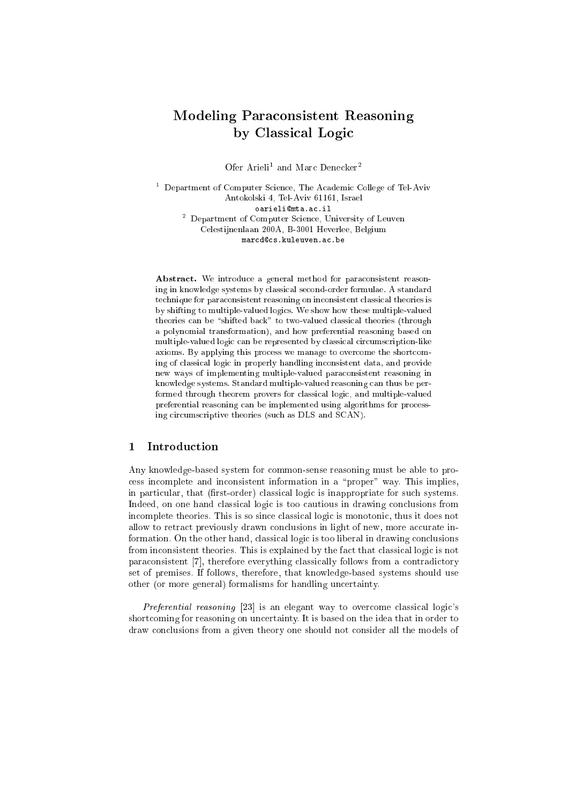# Modeling Para
onsistent Reasoning by Classi
al Logi

Ofer Arien<sup>-</sup> and Marc Denecker-

 $\,$  - Department of Computer Science, The Academic College of Tel-Aviv Antokolski 4, Tel-Aviv 61161, Israel oarielimta.a
.il <sup>2</sup> Department of Computer S
ien
e, University of Leuven Celestijnenlaan 200A, B-3001 Heverlee, Belgium marcd@cs.kuleuven.ac.be

Abstract. We introduce a general method for paraconsistent reasoning in knowledge systems by lassi
al se
ond-order formulae. <sup>A</sup> standard te
hnique for para
onsistent reasoning on in
onsistent lassi
al theories is by shifting to multiple-valued logi
s. We show how these multiple-valued theories can be "shifted back" to two-valued classical theories (through a polynomial transformation), and how preferential reasoning based on multiple-valued logic can be represented by classical circumscription-like axioms. By applying this process we manage to overcome the shortcoming of lassi
al logi in properly handling in
onsistent data, and provide new ways of implementing multiple-valued para
onsistent reasoning in knowledge systems. Standard multiple-valued reasoning can thus be performed through theorem provers for lassi
al logi
, and multiple-valued preferential reasoning can be implemented using algorithms for processing circumscriptive theories (such as DLS and SCAN).

### 1**Introduction**

Any knowledge-based system for common-sense reasoning must be able to process incomplete and inconsistent information in a "proper" way. This implies, in particular, that (first-order) classical logic is inappropriate for such systems. Indeed, on one hand classical logic is too cautious in drawing conclusions from incomplete theories. This is so since classical logic is monotonic, thus it does not allow to retract previously drawn conclusions in light of new, more accurate information. On the other hand, classical logic is too liberal in drawing conclusions from inconsistent theories. This is explained by the fact that classical logic is not paraconsistent [7], therefore everything classically follows from a contradictory set of premises. If follows, therefore, that knowledge-based systems should use other (or more general) formalisms for handling uncertainty.

Preferential reasoning  $[23]$  is an elegant way to overcome classical logic's shortcoming for reasoning on uncertainty. It is based on the idea that in order to draw on
lusions from a given theory one should not onsider all the models of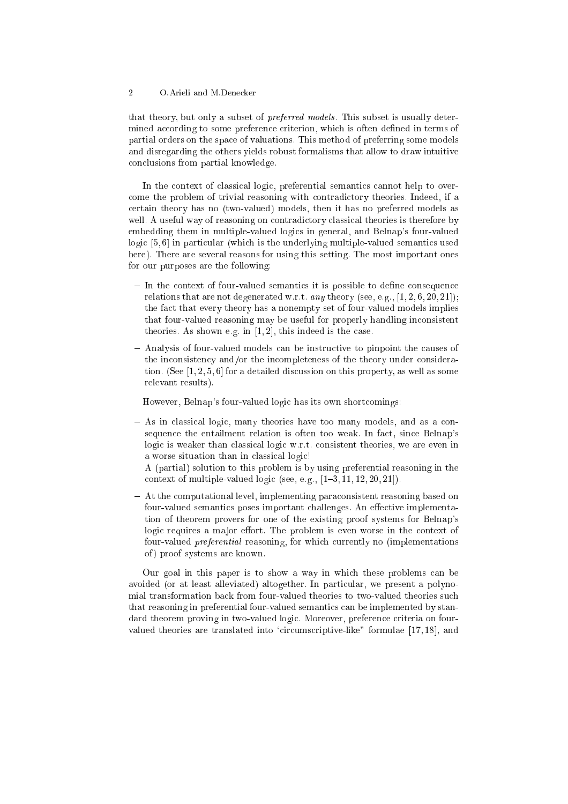#### $\overline{2}$ O Arieli and M Denecker

that theory, but only a subset of *preferred models*. This subset is usually determined according to some preference criterion, which is often defined in terms of partial orders on the spa
e of valuations. This method of preferring some models and disregarding the others yields robust formalisms that allow to draw intuitive on
lusions from partial knowledge.

In the context of classical logic, preferential semantics cannot help to overcome the problem of trivial reasoning with contradictory theories. Indeed, if a ertain theory has no (two-valued) models, then it has no preferred models as well. A useful way of reasoning on contradictory classical theories is therefore by embedding them in multiple-valued logi
s in general, and Belnap's four-valued logic [5,6] in particular (which is the underlying multiple-valued semantics used here). There are several reasons for using this setting. The most important ones for our purposes are the following:

- In the context of four-valued semantics it is possible to define consequence relations that are not degenerated w.r.t. any theory (see, e.g.,  $[1, 2, 6, 20, 21]$ ); the fa
t that every theory has a nonempty set of four-valued models implies that four-valued reasoning may be useful for properly handling in
onsistent theories. As shown e.g. in  $[1, 2]$ , this indeed is the case.
- Analysis of four-valued models can be instructive to pinpoint the causes of the inconsistency and/or the incompleteness of the theory under consideration. (See  $[1, 2, 5, 6]$  for a detailed discussion on this property, as well as some relevant results).

However, Belnap's four-valued logic has its own shortcomings:

- As in classical logic, many theories have too many models, and as a consequence the entailment relation is often too weak. In fact, since Belnap's logic is weaker than classical logic w.r.t. consistent theories, we are even in a worse situation than in classical logic!

A (partial) solution to this problem is by using preferential reasoning in the context of multiple-valued logic (see, e.g.,  $[1-3, 11, 12, 20, 21]$ ).

{ At the omputational level, implementing para
onsistent reasoning based on four-valued semantics poses important challenges. An effective implementation of theorem provers for one of the existing proof systems for Belnap's logic requires a major effort. The problem is even worse in the context of four-valued *preferential* reasoning, for which currently no (implementations of) proof systems are known.

Our goal in this paper is to show a way in whi
h these problems an be avoided (or at least alleviated) altogether. In particular, we present a polynomial transformation ba
k from four-valued theories to two-valued theories su
h that reasoning in preferential four-valued semantics can be implemented by standard theorem proving in two-valued logic. Moreover, preference criteria on fourvalued theories are translated into 'circumscriptive-like" formulae  $[17, 18]$ , and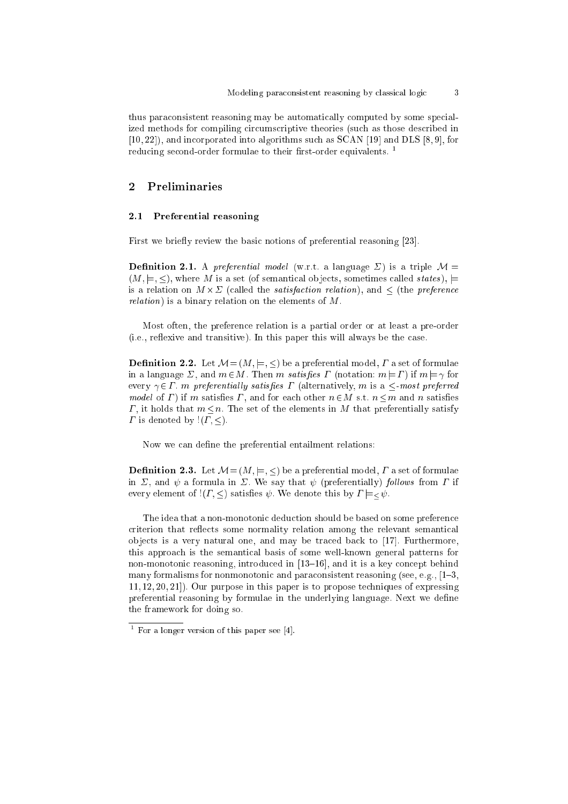thus paraconsistent reasoning may be automatically computed by some specialized methods for ompiling ir
ums
riptive theories (su
h as those des
ribed in  $[10, 22]$ , and incorporated into algorithms such as SCAN  $[19]$  and DLS  $[8, 9]$ , for reducing second-order formulae to their first-order equivalents.<sup>1</sup>

### $\overline{2}$ Preliminaries

#### $2.1$ Preferential reasoning

First we briefly review the basic notions of preferential reasoning [23].

**Definition 2.1.** A preferential model (w.r.t. a language  $\Sigma$ ) is a triple  $\mathcal{M} =$  $(M, \models, <)$ , where M is a set (of semantical objects, sometimes called *states*),  $\models$ is a relation on M - (the satisfact the product of product of preference in the preference of  $\mathbb{R}^n$ *relation*) is a binary relation on the elements of  $M$ .

Most often, the preferen
e relation is a partial order or at least a pre-order (i.e., reflexive and transitive). In this paper this will always be the case.

**Definition 2.2.** Let  $\mathcal{M} = (M, \models, \leq)$  be a preferential model,  $\Gamma$  a set of formulae in a language  $\Sigma$ , and  $m \in M$ . Then m satisfies  $\Gamma$  (notation:  $m \models \Gamma$ ) if  $m \models \gamma$  for every  $\gamma \in \Gamma$ . *m* preferentially satisfies  $\Gamma$  (alternatively, *m* is a  $\leq$ -most preferred model of  $\Gamma$ ) if m satisfies  $\Gamma$ , and for each other  $n \in M$  s.t.  $n \leq m$  and n satisfies , it holds that m n. The set of the set of the set of the set of the set of the elements in M that p is denoted by !(; ).

Now we can define the preferential entailment relations:

**Definition 2.3.** Let  $\mathcal{M} = (M, \models, \leq)$  be a preferential model,  $\Gamma$  a set of formulae in  $\Sigma$ , and  $\psi$  a formula in  $\Sigma$ . We say that  $\psi$  (preferentially) follows from  $\Gamma$  if every element of  $!(\Gamma, \leq)$  satisfies  $\psi$ . We denote this by  $\Gamma \models \leq \psi$ .

The idea that a non-monotonic deduction should be based on some preference criterion that reflects some normality relation among the relevant semantical objects is a very natural one, and may be traced back to  $[17]$ . Furthermore, this approa
h is the semanti
al basis of some well-known general patterns for non-monotonic reasoning, introduced in [13-16], and it is a key concept behind many formalisms for nonmonotonic and paraconsistent reasoning (see, e.g.,  $[1-3,$  $11, 12, 20, 21$ ). Our purpose in this paper is to propose techniques of expressing preferential reasoning by formulae in the underlying language. Next we define the framework for doing so.

 $\frac{1}{4}$  ror a longer version of this paper see [4].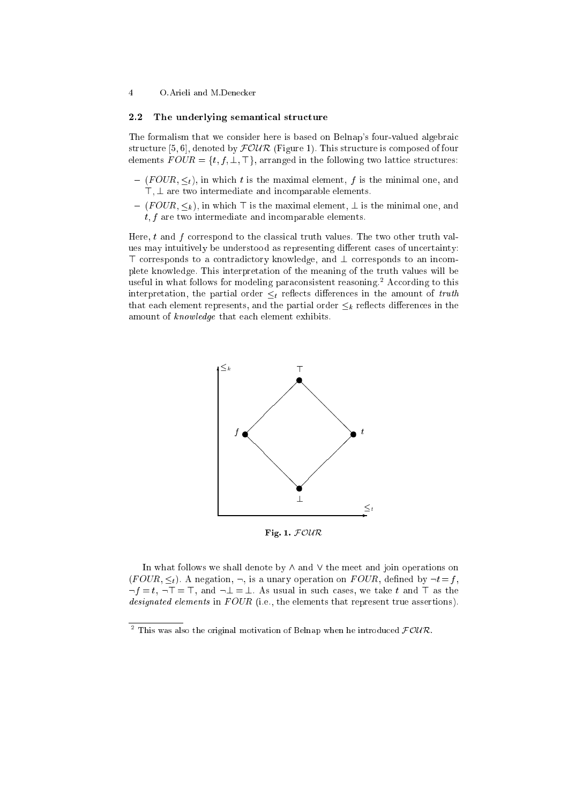### O.Arieli and M.Denecker

## 2.2 The underlying semantical structure

The formalism that we consider here is based on Belnap's four-valued algebraic structure [5, 6], denoted by  $\text{FOUR}$  (Figure 1). This structure is composed of four elements  $FOUR = \{t, f, \perp, \perp\}$ , arranged in the following two lattice structures:

- ${-(FOUR, \leq_t)}$ , in which t is the maximal element, f is the minimal one, and >; ? are two intermediate and in
omparable elements.
- $(FOUR, \leq_k)$ , in which  $\top$  is the maximal element,  $\bot$  is the minimal one, and t; f are two intermediate and in
omparable elements.

Here,  $t$  and  $f$  correspond to the classical truth values. The two other truth values may intuitively be understood as representing different cases of uncertainty: > orresponds to a ontradi
tory knowledge, and ? orresponds to an in
omplete knowledge. This interpretation of the meaning of the truth values will be useful in what follows for modeling paraconsistent reasoning.<sup>2</sup> According to this interpretation, the partial order  $\leq_t$  reflects differences in the amount of truth that each element represents, and the partial order  $\leq_k$  reflects differences in the amount of knowledge that each element exhibits.



Fig. 1.  $FOUR$ 

In what follows we shall denote by  $\wedge$  and  $\vee$  the meet and join operations on  $(FOUR, \leq_t)$ . A negation,  $\neg$ , is a unary operation on  $FOUR$ , defined by  $\neg t = f$ , :f = t, :> = >, and :? = ?. As usual in su
h ases, we take <sup>t</sup> and <sup>&</sup>gt; as the designated elements in  $FOUR$  (i.e., the elements that represent true assertions).

I his was also the original motivation of Belnap when he introduced  $\mathcal{F}\mathcal{O}\mathcal{U}\mathcal{R}$ .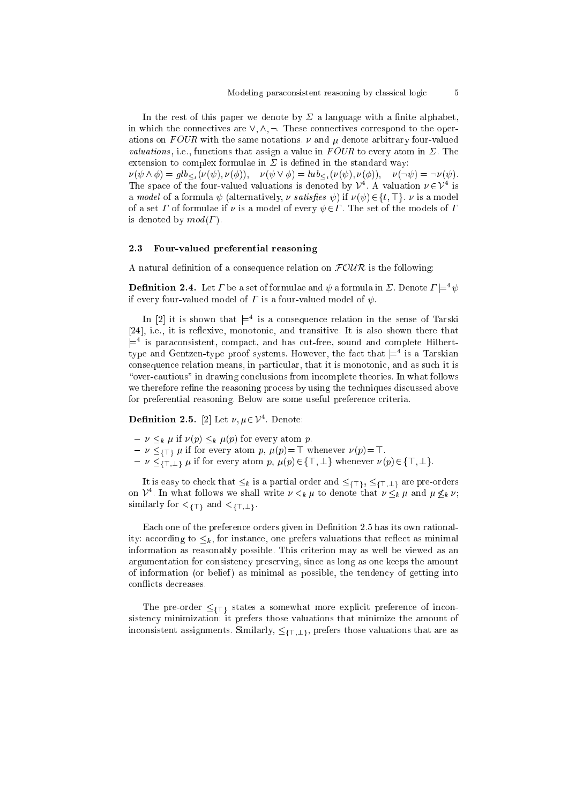In the rest of this paper we denote by  $\Sigma$  a language with a finite alphabet, in which the connectives are  $\vee$ ,  $\wedge$ ,  $\neg$ . These connectives correspond to the operations on FOUR with the same notations.  $\nu$  and  $\mu$  denote arbitrary four-valued *valuations*, i.e., functions that assign a value in  $FOUR$  to every atom in  $\Sigma$ . The extension to complex formulae in  $\Sigma$  is defined in the standard way:  $\nu(\psi \wedge \phi) = glb_{\leq t}(\nu (\psi), \nu (\phi)), \quad \nu (\psi \vee \phi) = lub_{\leq t}(\nu (\psi), \nu (\phi)), \quad \nu (\neg \psi) = \neg \nu (\psi).$ I he space of the four-valued valuations is defloted by  $V$ . A valuation  $\nu \in V$  is a model of a formula  $\psi$  (alternatively,  $\nu$  satisfies  $\psi$ ) if  $\nu(\psi) \in \{t, \top\}$ .  $\nu$  is a model of a set  $\Gamma$  of formulae if  $\nu$  is a model of every  $\psi \in \Gamma$ . The set of the models of  $\Gamma$ 

# 2.3 Four-valued preferential reasoning

is denoted by  $mod(\Gamma)$ .

A natural definition of a consequence relation on  $F\mathcal{OUR}$  is the following:

**Definition 2.4.** Let 1 be a set of formulae and  $\psi$  a formula in 2. Denote  $I \models \psi$ if every four-valued model of  $\Gamma$  is a four-valued model of  $\psi$ .

In  $|2|$  it is shown that  $|\equiv^+$  is a consequence relation in the sense of Tarski [24], i.e., it is reflexive, monotonic, and transitive. It is also shown there that  $\equiv$  is paraconsistent, compact, and has cut-free, sound and complete Hilberttype and Gentzen-type proof systems. However, the fact that  $\models^+$  is a Tarskian consequence relation means, in particular, that it is monotonic, and as such it is "over-cautious" in drawing conclusions from incomplete theories. In what follows we therefore refine the reasoning process by using the techniques discussed above for preferential reasoning. Below are some useful preference criteria.

**Demition 2.5.** [2] Let  $\nu$ ,  $\mu \in V$  . Denote:

- $\nu \leq_k \mu$  if  $\nu(p) \leq_k \mu(p)$  for every atom p.
- $f^*$  if for every at our p, for  $f^*$  for  $f^*$  ,  $f^*$  ,  $f^*$  ,  $f^*$  ,  $f^*$  ,  $f^*$  ,  $f^*$  ,  $f^*$  ,  $f^*$  ,  $f^*$  ,  $f^*$  ,  $f^*$  ,  $f^*$  ,  $f^*$  ,  $f^*$  ,  $f^*$  ,  $f^*$  ,  $f^*$  ,  $f^*$  ,  $f^*$  ,  $f^*$  ,  $f^*$  ,  $f$
- $f^*:=\{f\in\mathbb{R}^n\mid f\in\mathbb{R}^n\mid f\in\mathbb{R}^n\mid f\in\mathbb{R}^n\mid f\in\mathbb{R}^n\mid f\in\mathbb{R}^n\mid f\in\mathbb{R}^n\mid f\in\mathbb{R}^n\mid f\in\mathbb{R}^n\mid f\in\mathbb{R}^n\mid f\in\mathbb{R}^n\mid f\in\mathbb{R}^n\mid f\in\mathbb{R}^n\mid f\in\mathbb{R}^n\mid f\in\mathbb{R}^n\mid f\in\mathbb{R}^n\mid f\in\mathbb$

It is easy to check that  $\leq_k$  is a partial order and  $\leq_{\{\top\}}$ ,  $\leq_{\{\top,\bot\}}$  are pre-orders on  $\nu$  . In what follows we shall write  $\nu \leq_k \mu$  to denote that  $\nu \leq_k \mu$  and  $\mu \not\leq_k \nu$ ; similarly for  $\mathcal{S}$  and  $\mathcal{S}$  and  $\mathcal{S}$  and  $\mathcal{S}$ 

Each one of the preference orders given in Definition 2.5 has its own rationality: according to  $\leq_k$ , for instance, one prefers valuations that reflect as minimal information as reasonably possible. This criterion may as well be viewed as an argumentation for onsisten
y preserving, sin
e as long as one keeps the amount of information (or belief ) as minimal as possible, the tenden
y of getting into conflicts decreases.

The pre-order f>g states <sup>a</sup> somewhat more expli
it preferen
e of in
onsisten
y minimization: it prefers those valuations that minimize the amount of inconsistent assignments. Similarly,  $\leq \{\tau, \pm\}$ , prefers those valuations that are as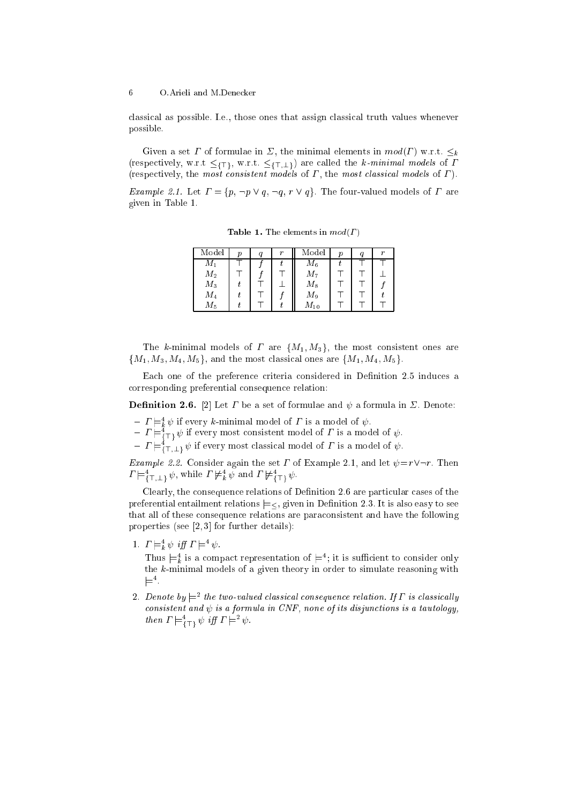lassi
al as possible. I.e., those ones that assign lassi
al truth values whenever possible.

Given a set  $\Gamma$  of formulae in  $\Sigma$ , the minimal elements in  $mod(\Gamma)$  w.r.t.  $\leq_k$ (respectively, w.r.t  $\leq_{\{\top\}}$ , w.r.t.  $\leq_{\{\top, \bot\}}$ ) are called the k-minimal models of  $\Gamma$ (respectively, the most consistent models of  $\Gamma$ , the most classical models of  $\Gamma$ ).

*Example 2.1.* Let  $\Gamma = \{p, \neg p \lor q, \neg q, r \lor q\}$ . The four-valued models of  $\Gamma$  are given in Table 1.

Table 1. The elements in  $mod(\Gamma)$ 

| Model   | 'n | r | Model        | D | a | r |
|---------|----|---|--------------|---|---|---|
| $M_1$   |    |   | $M_6$        |   |   |   |
| $M_2$   |    |   | $M_7$        |   |   |   |
| $M_3$   |    |   | $M_8$        |   |   |   |
| $M_{4}$ |    |   | $M_9$        |   |   |   |
| $M_5$   |    |   | $M_{\rm 10}$ |   |   |   |

The k-minimal models of  $\Gamma$  are  $\{M_1, M_3\}$ , the most consistent ones are  ${M_1, M_3, M_4, M_5}$ , and the most classical ones are  ${M_1, M_4, M_5}$ .

Each one of the preference criteria considered in Definition 2.5 induces a orresponding preferential onsequen
e relation:

**Definition 2.6.** [2] Let  $\Gamma$  be a set of formulae and  $\psi$  a formula in  $\Sigma$ . Denote:

- 
- ${ }^{\prime}I=\vec{k}\,\psi$  if every *k*-minimal model of  $I$  is a model of  $\psi$ .<br>  $-I=\vec{k}_{\perp 1}\,\psi$  if every most consistent model of  $I$  is a model of  $\psi$ .
- $I = I \models_{\{T, \bot\}} \psi$  if every most classical model of  $I$  is a model of  $\psi$ .

*Example 2.2.* Consider again the set  $\Gamma$  of Example 2.1, and let  $\psi = r \vee \neg r$ . Then  $I \models_{\{\top,\top\}} \psi$ , while  $I \not\vDash_k \psi$  and  $I \not\vDash_{\{\top\}} \psi$ .

Clearly, the consequence relations of Definition 2.6 are particular cases of the preferential entailment relations  $\models$ , given in Definition 2.3. It is also easy to see that all of these onsequen
e relations are para
onsistent and have the following properties (see  $[2,3]$  for further details):

1.  $I \vDash_k \psi$  if  $I \vDash \psi$ .

Thus  $\equiv_k$  is a compact representation of  $\equiv$  ; it is sufficient to consider only the  $k$ -minimal models of a given theory in order to simulate reasoning with j=4 .

 $\Delta$ . Denote  $\delta y \models^+$  the two-valued classical consequence relation. If  $I$  is classically consistent and  $\psi$  is a formula in CNF, none of its disjunctions is a tautology,  $then I \models_{\{\top\}} \psi \ yI \models \psi.$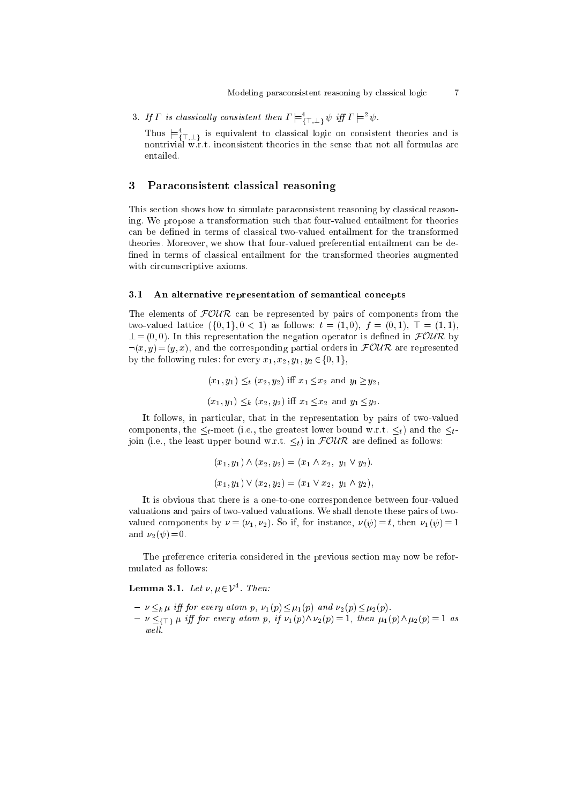3. If I is classically consistent then  $I \models \bar{f}_{\top, \bot} \psi \text{ iff } I \models^{\neg} \psi.$ 

Thus  $\equiv \bar{i}_{\perp}$  is equivalent to classical logic on consistent theories and is nontrivial w.r.t. inconsistent theories in the sense that not all formulas are entailed.

### 3Para
onsistent lassi
al reasoning

This section shows how to simulate paraconsistent reasoning by classical reasoning. We propose a transformation su
h that four-valued entailment for theories can be defined in terms of classical two-valued entailment for the transformed theories. Moreover, we show that four-valued preferential entailment an be de fined in terms of classical entailment for the transformed theories augmented with circumscriptive axioms.

### 3.1 An alternative representation of semantical concepts

The elements of  $FOUR$  can be represented by pairs of components from the two-valued lattice  $({0, 1}, 0 < 1)$  as follows:  $t = (1, 0), f = (0, 1), \top = (1, 1),$  $\blacksquare$  (0,0). In this representation the negation operator is defined in  $\blacksquare$  $\neg(x, y) = (y, x)$ , and the corresponding partial orders in  $\mathcal{FOUR}$  are represented by the following rules: for every  $x_1, x_2, y_1, y_2 \in \{0, 1\},\$ 

> $(x_1, y_1) \leq_t (x_2, y_2)$  iff  $x_1 \leq x_2$  and  $y_1 > y_2$ ;  $(x_1, y_1) \leq_k (x_2, y_2)$  iff  $x_1 \leq x_2$  and  $y_1 \leq y_2$ .

It follows, in particular, that in the representation by pairs of two-valued components, the  $\leq_t$ -meet (i.e., the greatest lower bound w.r.t.  $\leq_t$ ) and the  $\leq_t$ join (i.e., the least upper bound w.r.t.  $\leq_t$ ) in  $\text{FOUR}$  are defined as follows:

$$
(x_1, y_1) \land (x_2, y_2) = (x_1 \land x_2, y_1 \lor y_2).
$$

$$
(x_1, y_1) \lor (x_2, y_2) = (x_1 \lor x_2, y_1 \land y_2),
$$

It is obvious that there is a one-to-one correspondence between four-valued valuations and pairs of two-valued valuations. We shall denote these pairs of twovalued components by  $\nu = (\nu_1, \nu_2)$ . So if, for instance,  $\nu(\psi) = t$ , then  $\nu_1(\psi) = 1$ . and  $\nu_2(\psi) = 0$ .

The preference criteria considered in the previous section may now be reformulated as follows:

Lemma 3.1. Let  $\nu, \mu \in V$  finem.

- { k <sup>i</sup> for every atom p, 1(p)1(p) and 2(p)2(p).
- $f^* = \frac{1}{2}$  if  $f^*$  and  $f^* = \frac{1}{2}$  for every atom p, if  $f^* = \frac{1}{2}$  (p)  $f^* = \frac{1}{2}$  as the  $f^* = \frac{1}{2}$  as the  $f^* = \frac{1}{2}$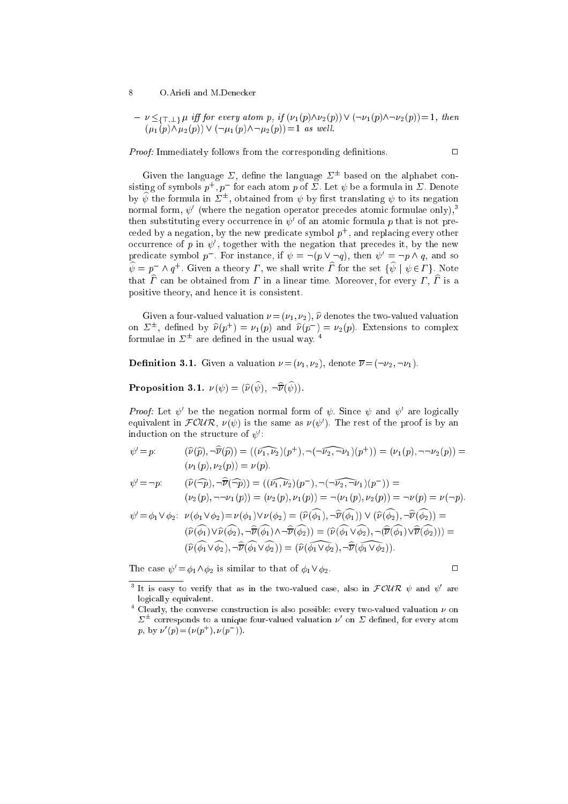#### $\overline{8}$ O.Arieli and M.Denecker

 ${\rm tr}\{ {\rm tr}\{f(x,y)\} = \psi \leq {\rm tr}\{f(x,y)\}$  if  ${\rm tr}\{f(x,y)\}$  atom p, if  ${\rm tr}\{(\psi_1(p)\wedge \psi_2(p))\} \vee {\rm tr}\{(\psi_1(p)\wedge \psi_2(p))= 1$ , then  $(\mu_1(p) \wedge \mu_2(p)) \vee (\neg \mu_1(p) \wedge \neg \mu_2(p))= 1$  as well.

*Proof:* Immediately follows from the corresponding definitions.  $\Box$ 

Given the language  $\varSigma$ , define the language  $\varSigma^+$  based on the alphabet consisting of symbols  $p^+, p^-$  for each atom  $p$  of  $\vartriangle$ . Let  $\psi$  be a formula in  $\vartriangle$ . Denote by  $\psi$  the formula in  $\vartriangle^{\perp}$ , obtained from  $\psi$  by inst translating  $\psi$  to its negation  $\max$  form,  $\psi$  , where the negation operator precedes atomic formulae only),  $\frac{1}{2}$ then substituting every occurrence in  $\psi$  of an atomic formula  $p$  that is not preceded by a negation, by the new predicate symbol  $p\,$  , and replacing every other occurrence of  $p$  in  $\psi$  , together with the negation that precedes it, by the new predicate symbol  $p$  for instance, if  $w = \neg(p \lor \neg q)$ , then  $w = \neg p \land q$ , and so  $\psi = p \quad \wedge q \quad$  Given a theory  $I$  , we shall write  $I$  for the set  $\{\psi \mid \psi \in I\}$ . Note that  $\widehat{\Gamma}$  can be obtained from  $\Gamma$  in a linear time. Moreover, for every  $\Gamma, \widehat{\Gamma}$  is a positive theory, and hen
e it is onsistent.

Given a four-valued valuation  $\nu = (\nu_1, \nu_2), \hat{\nu}$  denotes the two-valued valuation on  $\omega$ +, defined by  $\nu(p+1)=\nu_1(p)$  and  $\nu(p+1)=\nu_2(p)$ . Extensions to complex formulae in  $\omega-$  are defined in the usual way.  $\cdot$ 

**Definition 3.1.** Given a valuation  $\nu = (\nu_1, \nu_2)$ , denote  $\overline{\nu} = (\neg \nu_2, \neg \nu_1)$ .

**Proposition 3.1.**  $\nu(\psi) = (\widehat{\nu}(\widehat{\psi}), \neg \widehat{\overline{\nu}}(\widehat{\psi})).$ 

*Proof:* Let  $\psi$  be the negation normal form of  $\psi$ . Since  $\psi$  and  $\psi$  are logically equivalent in  $\mathcal{F} \cup \mathcal{U} \mathcal{K}$ ,  $\nu(\psi)$  is the same as  $\nu(\psi)$ . The rest of the proof is by an induction on the structure of  $\psi$  :

$$
\psi'=p:\qquad \left(\widehat{\nu}(\widehat{p}), \neg \widehat{\overline{\nu}}(\widehat{p})\right) = \left((\widehat{\nu_1, \nu_2})(p^+), \neg (\neg \widehat{\nu_2, \neg \nu_1})(p^+)\right) = \left(\nu_1(p), \neg \neg \nu_2(p)\right) =
$$

$$
\left(\nu_1(p), \nu_2(p)\right) = \nu(p).
$$

$$
\psi' = \neg p: \qquad (\widehat{\nu}(\widehat{\neg p}), \neg \widehat{\overline{\nu}}(\widehat{\neg p})) = ((\widehat{\nu_1, \nu_2})(p^-), \neg (\widehat{\nu_2, \neg \nu_1})(p^-)) =
$$
  

$$
(\nu_2(p), \neg \neg \nu_1(p)) = (\nu_2(p), \nu_1(p)) = \neg (\nu_1(p), \nu_2(p)) = \neg \nu(p) = \nu(\neg p).
$$

$$
\psi' = \phi_1 \vee \phi_2: \ \nu(\phi_1 \vee \phi_2) = \nu(\phi_1) \vee \nu(\phi_2) = (\widehat{\nu}(\widehat{\phi_1}), \neg \widehat{\overline{\nu}}(\widehat{\phi_1})) \vee (\widehat{\nu}(\widehat{\phi_2}), \neg \widehat{\overline{\nu}}(\widehat{\phi_2})) =
$$

$$
(\widehat{\nu}(\widehat{\phi_1}) \vee \widehat{\nu}(\widehat{\phi_2}), \neg \widehat{\overline{\nu}}(\widehat{\phi_1}) \wedge \neg \widehat{\overline{\nu}}(\widehat{\phi_2})) = (\widehat{\nu}(\widehat{\phi_1} \vee \widehat{\phi_2}), \neg (\widehat{\overline{\nu}}(\widehat{\phi_1}) \vee \widehat{\overline{\nu}}(\widehat{\phi_2}))) =
$$

$$
(\widehat{\nu}(\widehat{\phi_1} \vee \widehat{\phi_2}), \neg \widehat{\overline{\nu}}(\widehat{\phi_1} \vee \widehat{\phi_2})) = (\widehat{\nu}(\widehat{\phi_1} \vee \widehat{\phi_2}), \neg \widehat{\overline{\nu}}(\widehat{\phi_1} \vee \widehat{\phi_2})).
$$

The case  $\psi' = \phi_1 \wedge \phi_2$  is similar to that of  $\phi_1 \vee \phi_2$ .

It is easy to verify that as in the two-valued case, also in  $\mathcal{F} \mathcal{O} \mathcal{U} \mathcal{K}$   $\psi$  and  $\psi$  are logi
ally equivalent.

 $^\circ$  Clearly, the converse construction is also possible: every two-valued valuation  $\nu$  on  $\Sigma^+$  corresponds to a unique four-valued valuation  $\nu$  on  $\Sigma$  defined, for every atom  $p, \text{ by } \nu \cdot (p) = (\nu(p \cdot), \nu(p \cdot)).$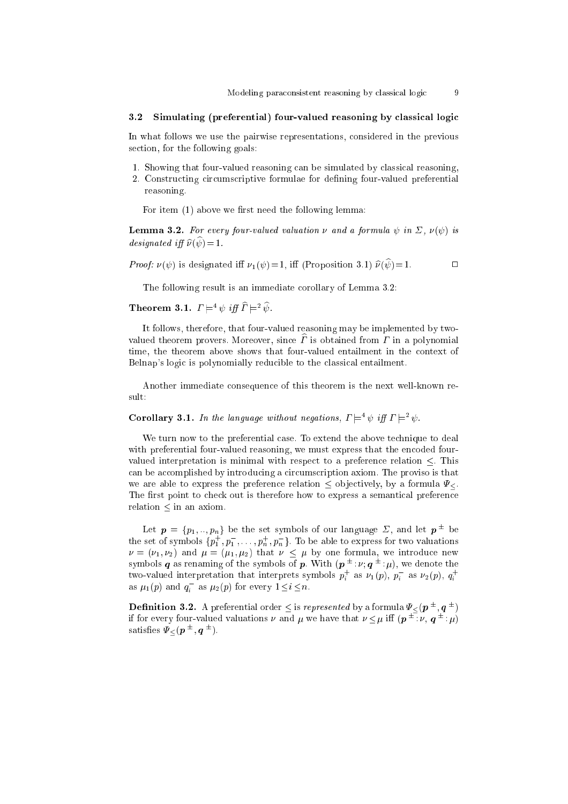### 3.2 Simulating (preferential) four-valued reasoning by classical logic

In what follows we use the pairwise representations, onsidered in the previous se
tion, for the following goals:

- 1. Showing that four-valued reasoning an be simulated by lassi
al reasoning,
- 2. Constructing circumscriptive formulae for defining four-valued preferential reasoning.

For item  $(1)$  above we first need the following lemma:

**Lemma 3.2.** For every four-valued valuation  $\nu$  and a formula  $\psi$  in  $\Sigma$ ,  $\nu(\psi)$  is designated iff  $\widehat{\nu}(\widehat{\psi})=1$ .

*Proof:*  $\nu(\psi)$  is designated iff  $\nu_1(\psi) = 1$ , iff (Proposition 3.1)  $\hat{\nu}(\hat{\psi}) = 1$ .

The following result is an immediate orollary of Lemma 3.2:

# I neorem  $\mathfrak{g}$ .i.  $\mathfrak{l} \equiv w \mathfrak{m} \mathfrak{l} \equiv w$ .

It follows, therefore, that four-valued reasoning may be implemented by twovalued theorem provers. Moreover, since  $\hat{\Gamma}$  is obtained from  $\Gamma$  in a polynomial time, the theorem above shows that four-valued entailment in the ontext of Belnap's logic is polynomially reducible to the classical entailment.

Another immediate onsequen
e of this theorem is the next well-known result:

**Corollary 3.1.** In the language without negations,  $I \models \psi$  iff  $I \models \psi$ .

We turn now to the preferential case. To extend the above technique to deal with preferential four-valued reasoning, we must express that the encoded fourvalued interpretation is minimal with respect to a preference relation  $\leq$ . This can be accomplished by introducing a circumscription axiom. The proviso is that we are able to express the preference relation  $\leq$  objectively, by a formula  $\Psi_{\leq}$ . The first point to check out is therefore how to express a semantical preference relation  $\leq$  in an axiom.

Let  $p = \{p_1, \ldots, p_n\}$  be the set symbols of our language  $\omega$ , and let  $p -$  be the set of symbols  $\{p_1^-, p_1^-, \ldots, p_n^-, p_n^-\}$ . To be able to express for two valuations = (1; 2) and = (1; 2) that by one formula, we introdu
e new symbols  $\bm{q}$  as renaming of the symbols of  $\bm{p}$ , with  $(\bm{p} - \nu; \bm{q} - \mu)$ , we denote the two-valued interpretation that interprets symbols  $p_i$  as  $\nu_1(p),\ p_i$  as  $\nu_2(p),\ q_i$ as  $\mu_1(p)$  and  $q_i$  as  $\mu_2(p)$  for every  $1 \leq i \leq n$ .

**Definition 3.2.** A preferential order  $\leq$  is represented by a formula  $\nu_{\leq} (p^{\perp},q^{\perp})$ If for every four-valued valuations  $\nu$  and  $\mu$  we have that  $\nu < \mu$  in ( $p - \nu$ ,  $q - \mu$ ) satisfies  $\nu < (p - q -)$ .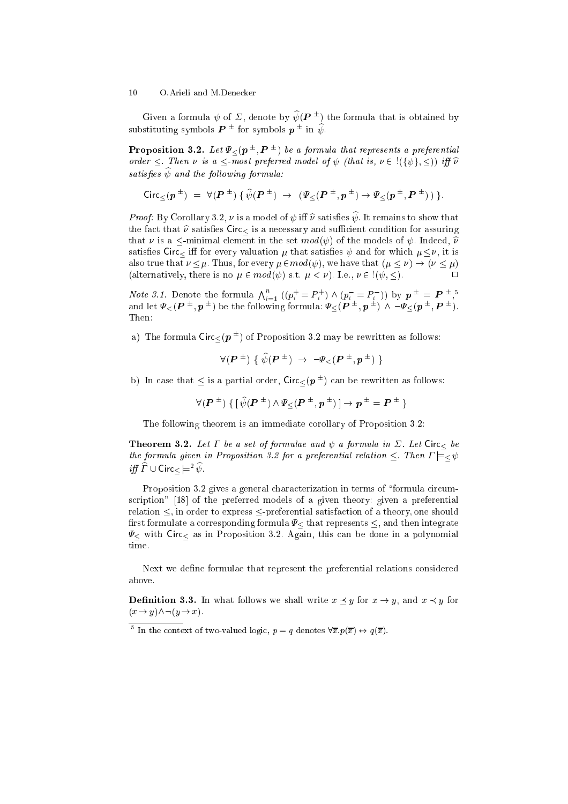#### $1<sub>0</sub>$ 10 O.Arieli and M.Dene
ker

Given a formula  $\psi$  of  $\varSigma$ , denote by  $\psi(\boldsymbol{P}^{\perp})$  the formula that is obtained by substituting symbols  $F = 10$ f symbols  $p = \text{m } w$ .

**Proposition 3.2.** Let  $\Psi \lt (p^-, P^+)$  be a formula that represents a preferential order  $\leq$ . Then  $\nu$  is a  $\leq$  most preferred model of  $\psi$  (that is,  $\nu \in \{(\{\psi\}, \leq)\}\$ iff  $\widehat{\nu}$ satisfies  $\hat{\psi}$  and the following formula:

$$
\mathsf{Circ}_{\leq}(\mathbf{p}^{\pm}) = \forall (\mathbf{P}^{\pm}) \{ \hat{\psi}(\mathbf{P}^{\pm}) \rightarrow (\Psi_{\leq}(\mathbf{P}^{\pm}, \mathbf{p}^{\pm}) \rightarrow \Psi_{\leq}(\mathbf{p}^{\pm}, \mathbf{P}^{\pm})) \}.
$$

*Proof:* By Corollary 3.2,  $\nu$  is a model of  $\psi$  iff  $\hat{\nu}$  satisfies  $\hat{\psi}$ . It remains to show that the fact that the satisfact  $\sim$  that is a new substitution for assuring the substitution for assumption  $\sim$ that  $\nu$  is a  $\le$ -minimal element in the set  $mod(\psi)$  of the models of  $\psi$ . Indeed,  $\widehat{\nu}$ satisfies containing the containing term in the satisfies and for which  $\mathbf{r}^* = \mathbf{r}$  is isomorphic to the satisfies of  $\mathbf{r}^* = \mathbf{r}$  is in the satisfies of  $\mathbf{r}^* = \mathbf{r}$  is in the satisfies of  $\mathbf{r}^* = \mathbf{r$ also true that  $\nu \leq \mu$ . Thus, for every  $\mu \in mod(\psi)$ , we have that  $(\mu \leq \nu) \to (\nu \leq \mu)$ (alternatively, there is no  $\mu \in mod(\psi)$  s.t.  $\mu < \nu$ ). I.e.,  $\nu \in \psi, \leq$ ).

*Note 3.1.* Denote the formula  $\bigwedge_{i=1}^{n} ((p_i^+ = P_i^+) \wedge (p_i^- = P_i^-))$  by  $p^{\pm} = \mathbf{P}^{\pm,5}$ and let  $\Psi$ <sub><</sub>( $F =$ ,  $p =$ ) be the following formula:  $\Psi$  <( $F =$ ,  $p =$ )  $\wedge \neg \Psi$  <( $p =$ ,  $F =$ ). Then:

a) The formula Circ $\langle p - \rangle$  of Proposition 3.2 may be rewritten as follows:

$$
\forall (\boldsymbol{P}^{\,\pm})\,\{\;\widehat{\psi}(\boldsymbol{P}^{\,\pm})\;\rightarrow\;\neg\Psi_{<}(\boldsymbol{P}^{\,\pm},\boldsymbol{p}^{\,\pm})\;\}
$$

b) in case that  $\leq$  is a partial order,  $\mathsf{Circ}\langle (\bm{p}^{\pm})\rangle$  can be rewritten as follows:

$$
\forall (\boldsymbol{P}^{\,\pm}) \, \{ \,[ \, \widehat{\psi}(\boldsymbol{P}^{\,\pm}) \wedge \varPsi_{\leq}(\boldsymbol{P}^{\,\pm},\boldsymbol{p}^{\,\pm}) \,] \rightarrow \boldsymbol{p}^{\,\pm} = \boldsymbol{P}^{\,\pm} \, \}
$$

The following theorem is an immediate orollary of Proposition 3.2:

Theorem 3.2. Let  $\alpha$  set of the andaly in the formula in . Let  $\alpha$  in . Let  $\alpha$  in . Let the formula given in Proposition 3.2 for a preferential relation  $\leq$ . Then  $\Gamma \models < \psi$  $\iota_H$   $\iota$   $\cup$  Lirc $\lt \models^-\psi$ .

Proposition 3.2 gives a general characterization in terms of "formula circumscription" [18] of the preferred models of a given theory: given a preferential relation  $\leq$ , in order to express  $\leq$ -preferential satisfaction of a theory, one should rst formulate a orresponding formula that represents , and then integrate with Cir as in Proposition 3.2. Again, this an be done in <sup>a</sup> polynomial time.

Next we define formulae that represent the preferential relations considered above.

**Definition 3.3.** In what follows we shall write  $x \leq y$  for  $x \to y$ , and  $x \prec y$  for  $(x \rightarrow y) \land \neg (y \rightarrow x).$ 

In the context of two-valued logic,  $p = q$  denotes  $\forall x. p(x) \leftrightarrow q(x)$ .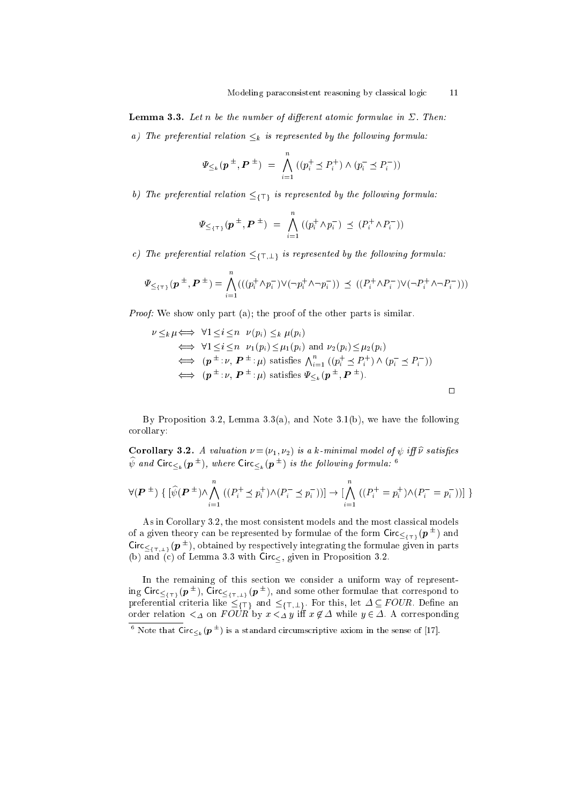**Lemma 3.3.** Let n be the number of different atomic formulae in  $\Sigma$ . Then:

a) The preferential relation  $\leq_k$  is represented by the following formula:

$$
\Psi_{\leq_k}(\mathbf{p}^{\pm}, \mathbf{P}^{\pm}) = \bigwedge_{i=1}^n ((p_i^+ \leq P_i^+) \wedge (p_i^- \leq P_i^-))
$$

b) The preference relation  $\ge$  is represented by the following formula:

$$
\Psi_{\leq {\{\top\}}}(\boldsymbol{p}^{\pm},\boldsymbol{P}^{\pm})\ =\ \bigwedge_{i=1}^n\ ({(p_i^+\wedge p_i^-)}\ \preceq\ ({P_i^+\wedge P_i^-}))
$$

c) The preferential relation  $\leq_{\{\top,\bot\}}$  is represented by the following formula:

$$
\Psi_{\leq \{\top\}}(\mathbf{p}^{\pm}, \mathbf{P}^{\pm}) = \bigwedge_{i=1}^{n} (((p_i^+ \wedge p_i^-) \vee (\neg p_i^+ \wedge \neg p_i^-)) \preceq ((P_i^+ \wedge P_i^-) \vee (\neg P_i^+ \wedge \neg P_i^-)))
$$

Proof: We show only part (a); the proof of the other parts is similar.

$$
\nu \leq_k \mu \iff \forall 1 \leq i \leq n \quad \nu(p_i) \leq_k \mu(p_i)
$$
  
\n
$$
\iff \forall 1 \leq i \leq n \quad \nu_1(p_i) \leq \mu_1(p_i) \text{ and } \nu_2(p_i) \leq \mu_2(p_i)
$$
  
\n
$$
\iff (\mathbf{p}^{\pm} : \nu, \mathbf{P}^{\pm} : \mu) \text{ satisfies } \bigwedge_{i=1}^n ((p_i^+ \leq P_i^+) \land (p_i^- \leq P_i^-))
$$
  
\n
$$
\iff (\mathbf{p}^{\pm} : \nu, \mathbf{P}^{\pm} : \mu) \text{ satisfies } \Psi_{\leq_k}(\mathbf{p}^{\pm}, \mathbf{P}^{\pm}).
$$

By Proposition 3.2, Lemma 3.3(a), and Note 3.1(b), we have the following orollary:

**Corollary 3.2.** A valuation  $\nu = (\nu_1, \nu_2)$  is a k-minimal model of  $\psi$  iff  $\hat{\nu}$  satisfies  $\psi$  and Circ $\lt_k(\mathbf{p}^\perp)$ , where Circ $\lt_k(\mathbf{p}^\perp)$  is the following formula:

$$
\forall (\boldsymbol{P}^{\pm}) \{ \left[ \widehat{\psi}(\boldsymbol{P}^{\pm}) \wedge \bigwedge_{i=1}^{n} ((P_{i}^{+} \preceq p_{i}^{+}) \wedge (P_{i}^{-} \preceq p_{i}^{-})) \right] \rightarrow \left[ \bigwedge_{i=1}^{n} ((P_{i}^{+} = p_{i}^{+}) \wedge (P_{i}^{-} = p_{i}^{-})) \right] \}
$$

As in Corollary 3.2, the most consistent models and the most classical models of a given theory can be represented by formulae of the form  $\mathsf{Circ}_{\{\tau\}}(\bm{p}^-)$  and Circ $\langle \{r_{i+1}\}(\bm{p}^{\perp}),\}$  obtained by respectively integrating the formulae given in parts (b) and  $(c)$  of Lemma 3.3 with Circ $\lt$ , given in Proposition 3.2.

In the remaining of this section we consider a uniform way of representing Circ $\zeta_{\tau}$ ,  $(p+1)$ , Circ $\zeta_{\tau}$ ,  $(p+1)$ , and some other formulae that correspond to preferential description components  $\equiv$  {  $\pm$   $\gamma$   $\equiv$   $\pm$   $\gamma$   $\equiv$   $\gamma$   $\equiv$   $\gamma$   $\equiv$   $\gamma$   $\equiv$   $\gamma$  components and order relation < on F OUR by x < <sup>y</sup> <sup>i</sup> <sup>x</sup> <sup>62</sup> while <sup>y</sup> <sup>2</sup> . <sup>A</sup> orresponding

Note that Circ $\leq_k (p - )$  is a standard circumscriptive axiom in the sense of [17].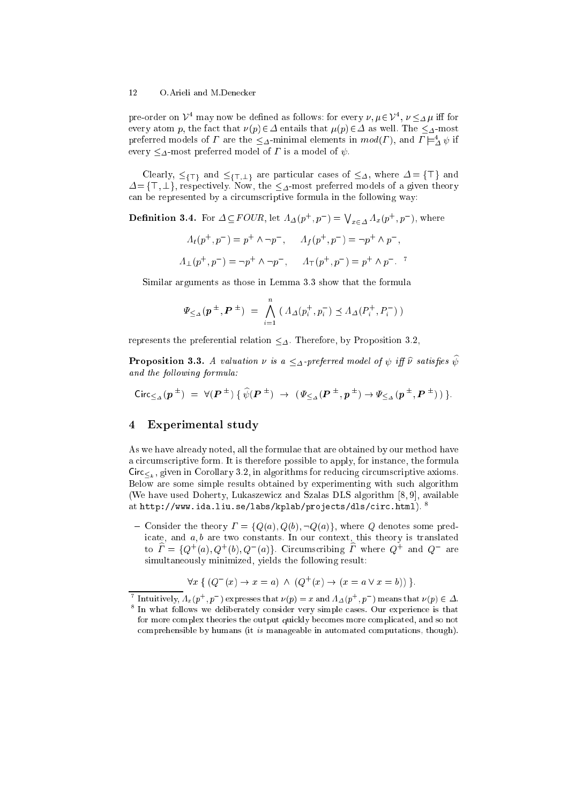### $12$ O.Arieli and M.Denecker

pre-order on  $\nu$  may now be defined as follows: for every  $\nu, \mu \in \nu$  ,  $\nu \leq_{A} \mu$  in for every atom p, the fact that  $\nu(p) \in \Delta$  entails that  $\mu(p) \in \Delta$  as well. The  $\leq_{\Delta}$ -most preferred models of 1 are the  $\leq_{\Delta}$ -minimal elements in  $moa(I)$ , and  $I \models_{\Delta} \psi$  if every  $\leq_{\Delta}$ -most preferred model of  $\Gamma$  is a model of  $\psi$ .

Clearly, f>g and f>;?g are parti
ular ases of , where <sup>=</sup> f>g and  $\Delta = \{\top, \bot\}$ , respectively. Now, the  $\leq_{\Delta}$ -most preferred models of a given theory can be represented by a circumscriptive formula in the following way:

**Definition 3.4.** For  $\Delta \subseteq FOUR$ , let  $A_{\Delta}(p^+, p^-) = \bigvee_{x \in \Delta} A_x(p^+, p^-)$ , where

$$
A_t(p^+, p^-) = p^+ \wedge \neg p^-, \qquad A_f(p^+, p^-) = \neg p^+ \wedge p^-,
$$
  

$$
A_{\perp}(p^+, p^-) = \neg p^+ \wedge \neg p^-, \qquad A_{\perp}(p^+, p^-) = p^+ \wedge p^-.
$$

Similar arguments as those in Lemma 3.3 show that the formula

$$
\Psi_{\leq \Delta}(\boldsymbol{p}^{\pm},\boldsymbol{P}^{\pm}) = \bigwedge_{i=1}^{n} \left( \Lambda_{\Delta}(p_i^+,p_i^-) \preceq \Lambda_{\Delta}(P_i^+,P_i^-) \right)
$$

represents the preferential relation  $\leq_{\Delta}$ . Therefore, by Proposition 3.2,

**Proposition 3.3.** A valuation  $\nu$  is a  $\leq_{\Delta}$ -preferred model of  $\psi$  iff  $\hat{\nu}$  satisfies  $\hat{\psi}$ and the following formula:

$$
\mathsf{Circ}_{\leq_{\varDelta}}(\mathbf{p}^{\pm}) = \forall (\mathbf{P}^{\pm}) \{ \widehat{\psi}(\mathbf{P}^{\pm}) \rightarrow (\Psi_{\leq_{\varDelta}}(\mathbf{P}^{\pm}, \mathbf{p}^{\pm}) \rightarrow \Psi_{\leq_{\varDelta}}(\mathbf{p}^{\pm}, \mathbf{P}^{\pm})) \}.
$$

### 4Experimental study

As we have already noted, all the formulae that are obtained by our method have a circumscriptive form. It is therefore possible to apply, for instance, the formula  $Circ_{\leq k}$ , given in Corollary 3.2, in algorithms for reducing circumscriptive axioms. Below are some simple results obtained by experimenting with su
h algorithm (We have used Doherty, Lukaszewicz and Szalas DLS algorithm  $[8, 9]$ , available at http://www.ida.liu.se/labs/kplab/projects/dls/circ.html). 8

- Consider the theory  $\Gamma = \{Q(a), Q(b), \neg Q(a)\}\,$ , where Q denotes some predicate, and  $a, b$  are two constants. In our context, this theory is translated to  $I = \{Q^+(a), Q^-(b), Q^-(a)\}$ . Circumscribing I where  $Q^-$  and  $Q^-$  are simultaneously minimized, yields the following result:

$$
\forall x \{ (Q^{-}(x) \rightarrow x = a) \land (Q^{+}(x) \rightarrow (x = a \lor x = b)) \}.
$$

Intuitively,  $A_x(p + p)$  expresses that  $\nu(p) = x$  and  $A_{\Delta}(p + p)$  means that  $\nu(p) \in \Delta$ .

th what follows we deliberately consider very simple cases. Our experience is that for more omplex theories the output qui
kly be
omes more ompli
ated, and so not comprehensible by humans (it is manageable in automated computations, though).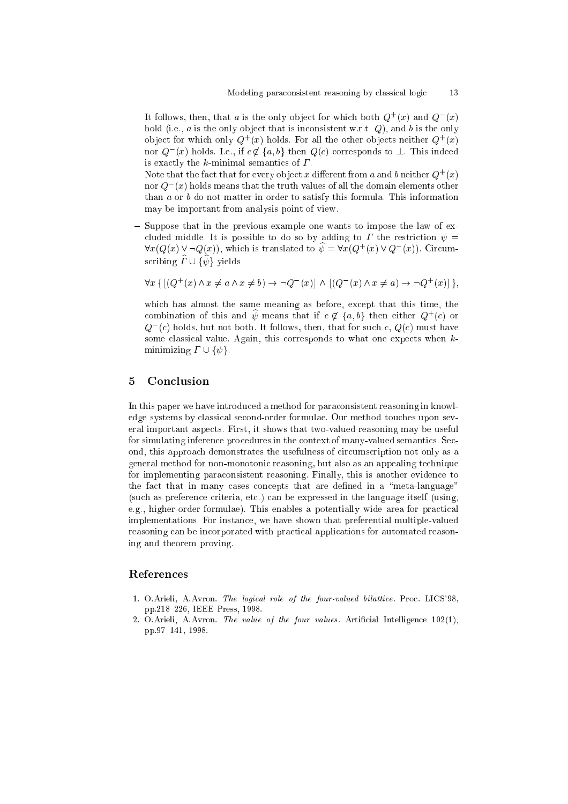$13$ 

It follows, then, that a is the only object for which both  $Q^+(x)$  and  $Q^-(x)$ hold (i.e., a is the only object that is inconsistent w.r.t.  $Q$ ), and b is the only object for which only  $Q_+(x)$  holds. For all the other objects helther  $Q_-(x)$ nor  $Q_{\parallel}$  (x) holds. Le., if  $c \notin \{a, b\}$  then  $Q_{\parallel}(c)$  corresponds to  $\perp$ . This indeed is exactly the  $k$ -minimal semantics of  $\Gamma$ .

Note that the fact that for every object  $x$  different from  $a$  and  $b$  neither  $Q^-(x)$  $\ln Q - (x)$  holds means that the truth values of all the domain elements other than <sup>a</sup> or <sup>b</sup> do not matter in order to satisfy this formula. This information may be important from analysis point of view.

- Suppose that in the previous example one wants to impose the law of excluded middle. It is possible to do so by adding to  $\Gamma$  the restriction  $\psi=$  $\forall x(\mathcal{Q}(x) \lor \neg \mathcal{Q}(x))$ , which is translated to  $\psi = \forall x(\mathcal{Q} \mid (x) \lor \mathcal{Q} \mid (x))$ . Circumscribing  $\widehat{\Gamma} \cup {\{\widehat{\psi}\}}$  yields

$$
\forall x \{ [(Q^+(x) \land x \neq a \land x \neq b) \rightarrow \neg Q^-(x)] \land [(Q^-(x) \land x \neq a) \rightarrow \neg Q^+(x)] \},
$$

which has almost the same meaning as before, except that this time, the combination of this and  $\psi$  means that if  $c \notin \{a, v\}$  then either  $Q^+(c)$  or  $Q_{\perp}(c)$  holds, but not both. It follows, then, that for such  $c, Q(c)$  must have some classical value. Again, this corresponds to what one expects when  $k$ minimizing  $\Gamma \cup \{\psi\}.$ 

# 5

In this paper we have introdu
ed a method for para
onsistent reasoning in knowledge systems by lassi
al se
ond-order formulae. Our method tou
hes upon several important aspects. First, it shows that two-valued reasoning may be useful for simulating inference procedures in the context of many-valued semantics. Second, this approach demonstrates the usefulness of circumscription not only as a general method for non-monotonic reasoning, but also as an appealing technique for implementing paraconsistent reasoning. Finally, this is another evidence to the fact that in many cases concepts that are defined in a "meta-language" (su
h as preferen
e riteria, et
.) an be expressed in the language itself (using, e.g., higher-order formulae). This enables a potentially wide area for practical implementations. For instan
e, we have shown that preferential multiple-valued reasoning can be incorporated with practical applications for automated reasoning and theorem proving.

# Referen
es

- 1. O.Arieli, A.Avron. The logical role of the four-valued bilattice. Proc. LICS'98, pp.218{226, IEEE Press, 1998.
- 2. O.Arieli, A.Avron. The value of the four values. Artificial Intelligence 102(1), pp.97-141, 1998.